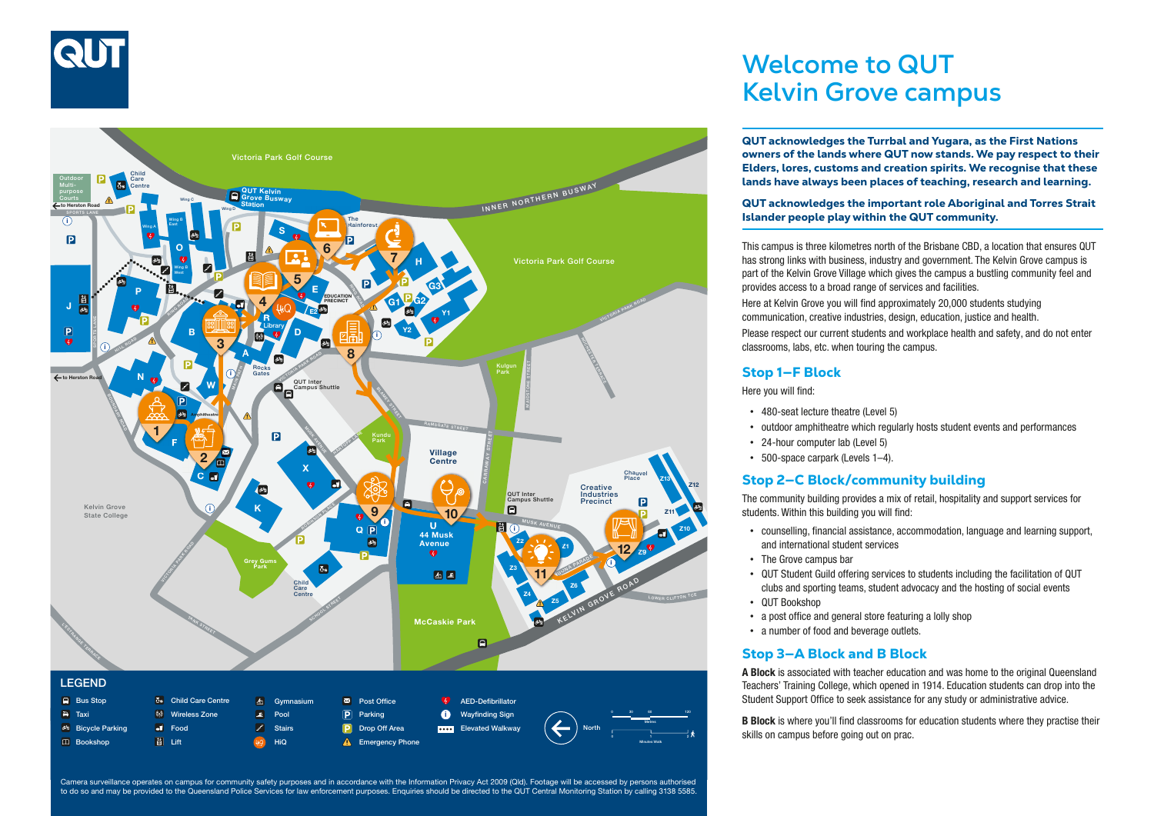



QUT acknowledges the important role Aboriginal and Torres Strait Islander people play within the QUT community. This campus is three kilometres north of the Brisbane CBD, a location that ensures QUT

provides access to a broad range of services and facilities. Here at Kelvin Grove you will find approximately 20,000 students studying has strong links with business, industry and government. The Kelvin Grove campus is part of the Kelvin Grove Village which gives the campus a bustling community feel and communication, creative industries, design, education, justice and health. Please respect our current students and workplace health and safety, and do not enter classrooms, labs, etc. when touring the campus.

QUT acknowledges the Turrbal and Yugara, as the First Nations owners of the lands where QUT now stands. We pay respect to their Elders, lores, customs and creation spirits. We recognise that these lands have always been places of teaching, research and learning.

**Welcome to QUT** 

**Kelvin Grove campus**

#### Stop 1—F Block

Here you will find:

- 480-seat lecture theatre (Level 5)
- outdoor amphitheatre which regularly hosts student events and performances
- 24-hour computer lab (Level 5)
- 500-space carpark (Levels 1–4).

#### Stop 2—C Block/community building

The community building provides a mix of retail, hospitality and support services for students. Within this building you will find:

- counselling, financial assistance, accommodation, language and learning support, and international student services
- The Grove campus bar
- QUT Student Guild offering services to students including the facilitation of QUT clubs and sporting teams, student advocacy and the hosting of social events
- QUT Bookshop
- a post office and general store featuring a lolly shop
- a number of food and beverage outlets.

#### Stop 3—A Block and B Block

A Block is associated with teacher education and was home to the original Queensland Teachers' Training College, which opened in 1914. Education students can drop into the Student Support Office to seek assistance for any study or administrative advice.

B Block is where you'll find classrooms for education students where they practise their skills on campus before going out on prac.

Camera surveillance operates on campus for community safety purposes and in accordance with the Information Privacy Act 2009 (Qld). Footage will be accessed by persons authorised to do so and may be provided to the Queensland Police Services for law enforcement purposes. Enquiries should be directed to the QUT Central Monitoring Station by calling 3138 5585.